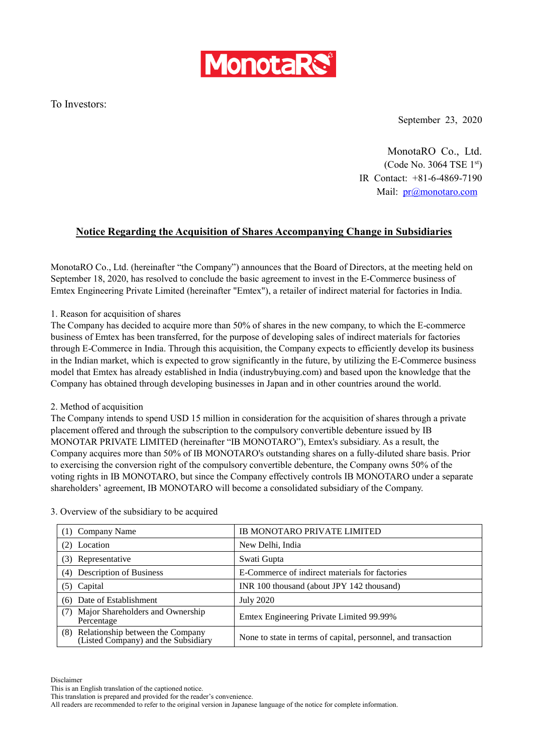

To Investors:

September 23, 2020

MonotaRO Co., Ltd. (Code No. 3064 TSE 1st) IR Contact: +81-6-4869-7190 Mail: [pr@monotaro.com](mailto:pr@monotaro.com)

## **Notice Regarding the Acquisition of Shares Accompanying Change in Subsidiaries**

MonotaRO Co., Ltd. (hereinafter "the Company") announces that the Board of Directors, at the meeting held on September 18, 2020, has resolved to conclude the basic agreement to invest in the E-Commerce business of Emtex Engineering Private Limited (hereinafter "Emtex"), a retailer of indirect material for factories in India.

1. Reason for acquisition of shares

The Company has decided to acquire more than 50% of shares in the new company, to which the E-commerce business of Emtex has been transferred, for the purpose of developing sales of indirect materials for factories through E-Commerce in India. Through this acquisition, the Company expects to efficiently develop its business in the Indian market, which is expected to grow significantly in the future, by utilizing the E-Commerce business model that Emtex has already established in India (industrybuying.com) and based upon the knowledge that the Company has obtained through developing businesses in Japan and in other countries around the world.

## 2. Method of acquisition

The Company intends to spend USD 15 million in consideration for the acquisition of shares through a private placement offered and through the subscription to the compulsory convertible debenture issued by IB MONOTAR PRIVATE LIMITED (hereinafter "IB MONOTARO"), Emtex's subsidiary. As a result, the Company acquires more than 50% of IB MONOTARO's outstanding shares on a fully-diluted share basis. Prior to exercising the conversion right of the compulsory convertible debenture, the Company owns 50% of the voting rights in IB MONOTARO, but since the Company effectively controls IB MONOTARO under a separate shareholders' agreement, IB MONOTARO will become a consolidated subsidiary of the Company.

| (1) Company Name                                                               | IB MONOTARO PRIVATE LIMITED                                   |
|--------------------------------------------------------------------------------|---------------------------------------------------------------|
| (2) Location                                                                   | New Delhi, India                                              |
| (3) Representative                                                             | Swati Gupta                                                   |
| (4) Description of Business                                                    | E-Commerce of indirect materials for factories                |
| (5) Capital                                                                    | INR 100 thousand (about JPY 142 thousand)                     |
| (6) Date of Establishment                                                      | <b>July 2020</b>                                              |
| Major Shareholders and Ownership<br>Percentage                                 | Emtex Engineering Private Limited 99.99%                      |
| Relationship between the Company<br>(Listed Company) and the Subsidiary<br>(8) | None to state in terms of capital, personnel, and transaction |

3. Overview of the subsidiary to be acquired

Disclaimer

All readers are recommended to refer to the original version in Japanese language of the notice for complete information.

This is an English translation of the captioned notice.

This translation is prepared and provided for the reader's convenience.